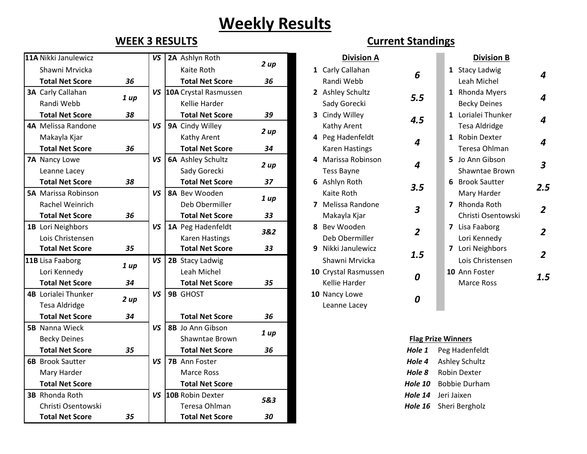## **Weekly Results**

| 11A Nikki Janulewicz       |      | VS        | 2A Ashlyn Roth           |      | <b>Division A</b>                            | <b>Division B</b>         |
|----------------------------|------|-----------|--------------------------|------|----------------------------------------------|---------------------------|
| Shawni Mrvicka             |      |           | Kaite Roth               | 2 up | 1 Carly Callahan<br>6                        | 1 Stacy Ladwig            |
| <b>Total Net Score</b>     | 36   |           | <b>Total Net Score</b>   | 36   | Randi Webb                                   | Leah Michel               |
| <b>3A Carly Callahan</b>   |      |           | VS 10A Crystal Rasmussen |      | 2 Ashley Schultz<br>5.5                      | 1 Rhonda Myers            |
| Randi Webb                 | 1 up |           | Kellie Harder            |      | Sady Gorecki                                 | <b>Becky Deines</b>       |
| <b>Total Net Score</b>     | 38   |           | <b>Total Net Score</b>   | 39   | 3 Cindy Willey<br>4.5                        | 1 Lorialei Thunker        |
| 4A Melissa Randone         |      | <b>VS</b> | 9A Cindy Willey          |      | Kathy Arent                                  | <b>Tesa Aldridge</b>      |
| Makayla Kjar               |      |           | Kathy Arent              | 2 up | 4 Peg Hadenfeldt<br>$\boldsymbol{4}$         | 1 Robin Dexter            |
| <b>Total Net Score</b>     | 36   |           | <b>Total Net Score</b>   | 34   | <b>Karen Hastings</b>                        | Teresa Ohlman             |
| 7A Nancy Lowe              |      | VS        | <b>6A</b> Ashley Schultz | 2 up | 4 Marissa Robinson<br>$\boldsymbol{4}$       | 5 Jo Ann Gibson           |
| Leanne Lacey               |      |           | Sady Gorecki             |      | <b>Tess Bayne</b>                            | Shawntae Brown            |
| <b>Total Net Score</b>     | 38   |           | <b>Total Net Score</b>   | 37   | 6 Ashlyn Roth<br>3.5                         | 6 Brook Sautter           |
| <b>5A</b> Marissa Robinson |      | VS        | 8A Bev Wooden            | 1 up | Kaite Roth                                   | Mary Harder               |
| Rachel Weinrich            |      |           | Deb Obermiller           |      | 7 Melissa Randone<br>$\overline{\mathbf{3}}$ | 7 Rhonda Roth             |
| <b>Total Net Score</b>     | 36   |           | <b>Total Net Score</b>   | 33   | Makayla Kjar                                 | Christi Osentowski        |
| 1B Lori Neighbors          |      | VS        | 1A Peg Hadenfeldt        | 3&2  | 8 Bev Wooden<br>$\overline{2}$               | 7 Lisa Faaborg            |
| Lois Christensen           |      |           | <b>Karen Hastings</b>    |      | Deb Obermiller                               | Lori Kennedy              |
| <b>Total Net Score</b>     | 35   |           | <b>Total Net Score</b>   | 33   | 9 Nikki Janulewicz<br>1.5                    | 7 Lori Neighbors          |
| 11B Lisa Faaborg           | 1 up | VS        | 2B Stacy Ladwig          |      | Shawni Mrvicka                               | Lois Christensen          |
| Lori Kennedy               |      |           | Leah Michel              |      | 10 Crystal Rasmussen<br>0                    | 10 Ann Foster             |
| <b>Total Net Score</b>     | 34   |           | <b>Total Net Score</b>   | 35   | Kellie Harder                                | Marce Ross                |
| <b>4B</b> Lorialei Thunker | 2 up | VS        | <b>9B GHOST</b>          |      | 10 Nancy Lowe<br>0                           |                           |
| <b>Tesa Aldridge</b>       |      |           |                          |      | Leanne Lacey                                 |                           |
| <b>Total Net Score</b>     | 34   |           | <b>Total Net Score</b>   | 36   |                                              |                           |
| <b>5B</b> Nanna Wieck      |      | VS        | 8B Jo Ann Gibson         | 1 up |                                              |                           |
| <b>Becky Deines</b>        |      |           | Shawntae Brown           |      |                                              | <b>Flag Prize Winners</b> |
| <b>Total Net Score</b>     | 35   |           | <b>Total Net Score</b>   | 36   | Hole 1                                       | Peg Hadenfeldt            |
| <b>6B</b> Brook Sautter    |      | VS        | 7B Ann Foster            |      | Hole 4                                       | <b>Ashley Schultz</b>     |
| Mary Harder                |      |           | <b>Marce Ross</b>        |      | Hole 8                                       | <b>Robin Dexter</b>       |
| <b>Total Net Score</b>     |      |           | <b>Total Net Score</b>   |      | Hole 10                                      | <b>Bobbie Durham</b>      |
| <b>3B</b> Rhonda Roth      |      |           | VS 10B Robin Dexter      | 5&3  | Hole 14                                      | Jeri Jaixen               |
| Christi Osentowski         |      |           | Teresa Ohlman            |      | Hole 16                                      | Sheri Bergholz            |
| <b>Total Net Score</b>     | 35   |           | <b>Total Net Score</b>   | 30   |                                              |                           |

## **WEEK 3 RESULTS Current Standings**

|            | VS        | 2A Ashlyn Roth           |      |              | <b>Division A</b>    |                          |                | <b>Division B</b>    |                         |
|------------|-----------|--------------------------|------|--------------|----------------------|--------------------------|----------------|----------------------|-------------------------|
|            |           | Kaite Roth               | 2 up |              | 1 Carly Callahan     | 6                        |                | 1 Stacy Ladwig       |                         |
| 36         |           | <b>Total Net Score</b>   | 36   |              | Randi Webb           |                          |                | Leah Michel          | 4                       |
|            |           | VS 10A Crystal Rasmussen |      |              | 2 Ashley Schultz     |                          | $\mathbf{1}$   | <b>Rhonda Myers</b>  |                         |
| 1 up       |           | Kellie Harder            |      |              | Sady Gorecki         | 5.5                      |                | <b>Becky Deines</b>  | 4                       |
| 38         |           | <b>Total Net Score</b>   | 39   | 3            | Cindy Willey         | 4.5                      |                | 1 Lorialei Thunker   | 4                       |
|            | VS        | 9A Cindy Willey          | 2 up |              | Kathy Arent          |                          |                | <b>Tesa Aldridge</b> |                         |
|            |           | Kathy Arent              |      |              | 4 Peg Hadenfeldt     | $\boldsymbol{4}$         |                | 1 Robin Dexter       | 4                       |
| 36         |           | <b>Total Net Score</b>   | 34   |              | Karen Hastings       |                          |                | Teresa Ohlman        |                         |
|            | VS        | <b>6A</b> Ashley Schultz | 2 up | 4            | Marissa Robinson     | $\overline{\mathcal{A}}$ |                | 5 Jo Ann Gibson      | $\overline{\mathbf{3}}$ |
|            |           | Sady Gorecki             |      |              | <b>Tess Bayne</b>    |                          |                | Shawntae Brown       |                         |
| 38         |           | <b>Total Net Score</b>   | 37   |              | 6 Ashlyn Roth        | 3.5                      |                | 6 Brook Sautter      | 2.5                     |
|            | <b>VS</b> | 8A Bev Wooden            | 1 up |              | Kaite Roth           |                          |                | Mary Harder          |                         |
|            |           | Deb Obermiller           |      | 7            | Melissa Randone      | $\overline{\mathbf{3}}$  | $\overline{7}$ | Rhonda Roth          | $\overline{2}$          |
| 36         |           | <b>Total Net Score</b>   | 33   |              | Makayla Kjar         |                          |                | Christi Osentowski   |                         |
|            | VS        | 1A Peg Hadenfeldt        | 3&2  | 8            | Bev Wooden           | $\overline{2}$           |                | 7 Lisa Faaborg       | $\overline{2}$          |
|            |           | Karen Hastings           |      |              | Deb Obermiller       |                          |                | Lori Kennedy         |                         |
| 35         |           | <b>Total Net Score</b>   | 33   | 9            | Nikki Janulewicz     | 1.5                      | $\overline{7}$ | Lori Neighbors       | $\overline{2}$          |
| 1 up       | VS        | 2B Stacy Ladwig          |      |              | Shawni Mrvicka       |                          |                | Lois Christensen     |                         |
|            |           | Leah Michel              |      |              | 10 Crystal Rasmussen | 0                        |                | 10 Ann Foster        | 1.5                     |
| 34         |           | <b>Total Net Score</b>   | 35   |              | Kellie Harder        |                          |                | Marce Ross           |                         |
| VS<br>2 up |           | <b>9B GHOST</b>          |      |              | 10 Nancy Lowe<br>0   |                          |                |                      |                         |
|            |           |                          |      | Leanne Lacey |                      |                          |                |                      |                         |

## **Flag Prize Winners**

| Hole 1         | Peg Hadenfeldt        |
|----------------|-----------------------|
| Hole 4         | <b>Ashley Schultz</b> |
| Hole 8         | Robin Dexter          |
| <b>Hole 10</b> | <b>Bobbie Durham</b>  |
| Hole 14        | Jeri Jaixen           |
| Hole 16        | Sheri Bergholz        |